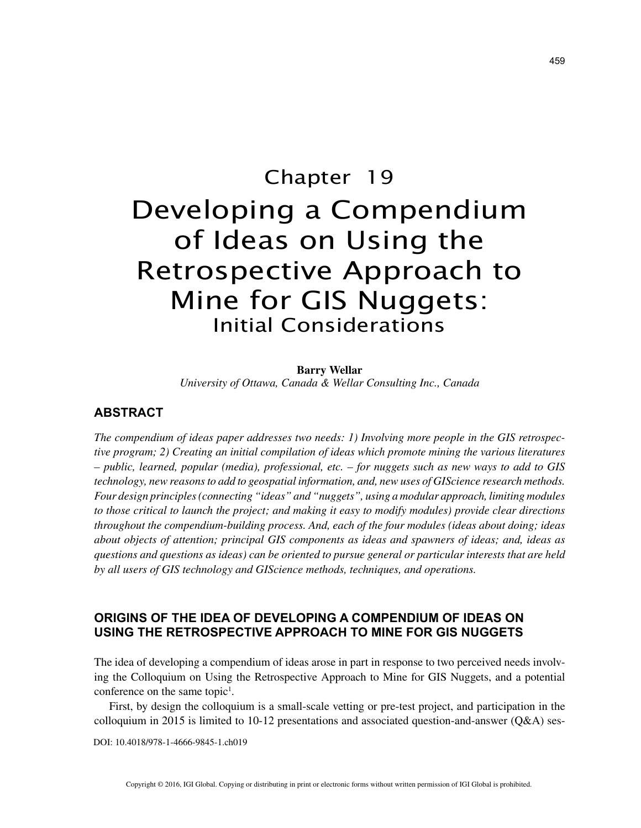# Chapter 19 Developing a Compendium of Ideas on Using the Retrospective Approach to Mine for GIS Nuggets: Initial Considerations

**Barry Wellar** *University of Ottawa, Canada & Wellar Consulting Inc., Canada*

#### **ABSTRACT**

*The compendium of ideas paper addresses two needs: 1) Involving more people in the GIS retrospective program; 2) Creating an initial compilation of ideas which promote mining the various literatures – public, learned, popular (media), professional, etc. – for nuggets such as new ways to add to GIS technology, new reasons to add to geospatial information, and, new uses of GIScience research methods. Four design principles (connecting "ideas" and "nuggets", using a modular approach, limiting modules to those critical to launch the project; and making it easy to modify modules) provide clear directions throughout the compendium-building process. And, each of the four modules (ideas about doing; ideas about objects of attention; principal GIS components as ideas and spawners of ideas; and, ideas as questions and questions as ideas) can be oriented to pursue general or particular interests that are held by all users of GIS technology and GIScience methods, techniques, and operations.*

## **ORIGINS OF THE IDEA OF DEVELOPING A COMPENDIUM OF IDEAS ON USING THE RETROSPECTIVE APPROACH TO MINE FOR GIS NUGGETS**

The idea of developing a compendium of ideas arose in part in response to two perceived needs involving the Colloquium on Using the Retrospective Approach to Mine for GIS Nuggets, and a potential conference on the same topic<sup>1</sup>.

First, by design the colloquium is a small-scale vetting or pre-test project, and participation in the colloquium in 2015 is limited to 10-12 presentations and associated question-and-answer (Q&A) ses-

DOI: 10.4018/978-1-4666-9845-1.ch019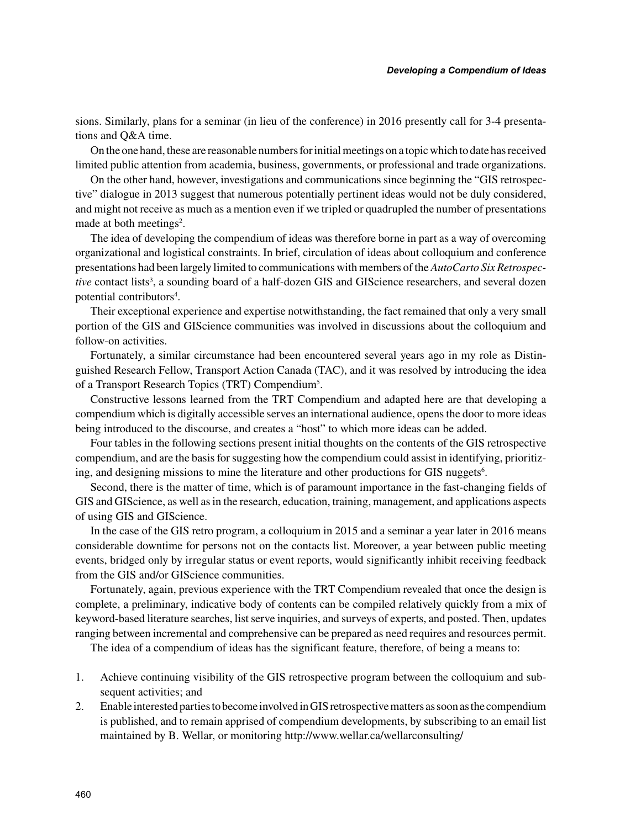sions. Similarly, plans for a seminar (in lieu of the conference) in 2016 presently call for 3-4 presentations and Q&A time.

On the one hand, these are reasonable numbers for initial meetings on a topic which to date has received limited public attention from academia, business, governments, or professional and trade organizations.

On the other hand, however, investigations and communications since beginning the "GIS retrospective" dialogue in 2013 suggest that numerous potentially pertinent ideas would not be duly considered, and might not receive as much as a mention even if we tripled or quadrupled the number of presentations made at both meetings<sup>2</sup>.

The idea of developing the compendium of ideas was therefore borne in part as a way of overcoming organizational and logistical constraints. In brief, circulation of ideas about colloquium and conference presentations had been largely limited to communications with members of the *AutoCarto Six Retrospec*tive contact lists<sup>3</sup>, a sounding board of a half-dozen GIS and GIScience researchers, and several dozen potential contributors<sup>4</sup>.

Their exceptional experience and expertise notwithstanding, the fact remained that only a very small portion of the GIS and GIScience communities was involved in discussions about the colloquium and follow-on activities.

Fortunately, a similar circumstance had been encountered several years ago in my role as Distinguished Research Fellow, Transport Action Canada (TAC), and it was resolved by introducing the idea of a Transport Research Topics (TRT) Compendium<sup>5</sup>.

Constructive lessons learned from the TRT Compendium and adapted here are that developing a compendium which is digitally accessible serves an international audience, opens the door to more ideas being introduced to the discourse, and creates a "host" to which more ideas can be added.

Four tables in the following sections present initial thoughts on the contents of the GIS retrospective compendium, and are the basis for suggesting how the compendium could assist in identifying, prioritizing, and designing missions to mine the literature and other productions for GIS nuggets<sup>6</sup>.

Second, there is the matter of time, which is of paramount importance in the fast-changing fields of GIS and GIScience, as well as in the research, education, training, management, and applications aspects of using GIS and GIScience.

In the case of the GIS retro program, a colloquium in 2015 and a seminar a year later in 2016 means considerable downtime for persons not on the contacts list. Moreover, a year between public meeting events, bridged only by irregular status or event reports, would significantly inhibit receiving feedback from the GIS and/or GIScience communities.

Fortunately, again, previous experience with the TRT Compendium revealed that once the design is complete, a preliminary, indicative body of contents can be compiled relatively quickly from a mix of keyword-based literature searches, list serve inquiries, and surveys of experts, and posted. Then, updates ranging between incremental and comprehensive can be prepared as need requires and resources permit.

The idea of a compendium of ideas has the significant feature, therefore, of being a means to:

- 1. Achieve continuing visibility of the GIS retrospective program between the colloquium and subsequent activities; and
- 2. Enable interested parties to become involved in GIS retrospective matters as soon as the compendium is published, and to remain apprised of compendium developments, by subscribing to an email list maintained by B. Wellar, or monitoring http://www.wellar.ca/wellarconsulting/